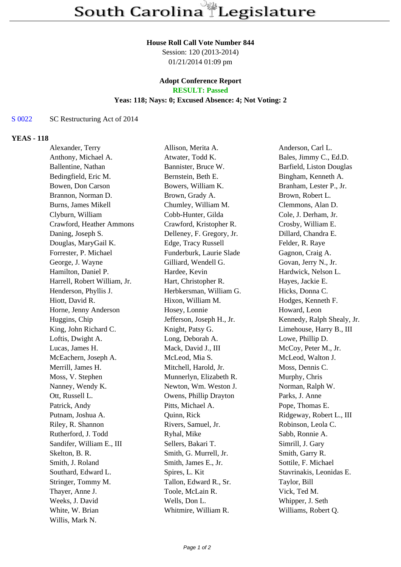# **House Roll Call Vote Number 844**

Session: 120 (2013-2014) 01/21/2014 01:09 pm

## **Adopt Conference Report RESULT: Passed**

# **Yeas: 118; Nays: 0; Excused Absence: 4; Not Voting: 2**

# S 0022 SC Restructuring Act of 2014

## **YEAS - 118**

| Alexander, Terry             | Allison, Merita A.        | Anderson, Carl L.          |
|------------------------------|---------------------------|----------------------------|
| Anthony, Michael A.          | Atwater, Todd K.          | Bales, Jimmy C., Ed.D.     |
| Ballentine, Nathan           | Bannister, Bruce W.       | Barfield, Liston Douglas   |
| Bedingfield, Eric M.         | Bernstein, Beth E.        | Bingham, Kenneth A.        |
| Bowen, Don Carson            | Bowers, William K.        | Branham, Lester P., Jr.    |
| Brannon, Norman D.           | Brown, Grady A.           | Brown, Robert L.           |
| Burns, James Mikell          | Chumley, William M.       | Clemmons, Alan D.          |
| Clyburn, William             | Cobb-Hunter, Gilda        | Cole, J. Derham, Jr.       |
| Crawford, Heather Ammons     | Crawford, Kristopher R.   | Crosby, William E.         |
| Daning, Joseph S.            | Delleney, F. Gregory, Jr. | Dillard, Chandra E.        |
| Douglas, MaryGail K.         | Edge, Tracy Russell       | Felder, R. Raye            |
| Forrester, P. Michael        | Funderburk, Laurie Slade  | Gagnon, Craig A.           |
| George, J. Wayne             | Gilliard, Wendell G.      | Govan, Jerry N., Jr.       |
| Hamilton, Daniel P.          | Hardee, Kevin             | Hardwick, Nelson L.        |
| Harrell, Robert William, Jr. | Hart, Christopher R.      | Hayes, Jackie E.           |
| Henderson, Phyllis J.        | Herbkersman, William G.   | Hicks, Donna C.            |
| Hiott, David R.              | Hixon, William M.         | Hodges, Kenneth F.         |
| Horne, Jenny Anderson        | Hosey, Lonnie             | Howard, Leon               |
| Huggins, Chip                | Jefferson, Joseph H., Jr. | Kennedy, Ralph Shealy, Jr. |
| King, John Richard C.        | Knight, Patsy G.          | Limehouse, Harry B., III   |
| Loftis, Dwight A.            | Long, Deborah A.          | Lowe, Phillip D.           |
| Lucas, James H.              | Mack, David J., III       | McCoy, Peter M., Jr.       |
| McEachern, Joseph A.         | McLeod, Mia S.            | McLeod, Walton J.          |
| Merrill, James H.            | Mitchell, Harold, Jr.     | Moss, Dennis C.            |
| Moss, V. Stephen             | Munnerlyn, Elizabeth R.   | Murphy, Chris              |
| Nanney, Wendy K.             | Newton, Wm. Weston J.     | Norman, Ralph W.           |
| Ott, Russell L.              | Owens, Phillip Drayton    | Parks, J. Anne             |
| Patrick, Andy                | Pitts, Michael A.         | Pope, Thomas E.            |
| Putnam, Joshua A.            | Quinn, Rick               | Ridgeway, Robert L., III   |
| Riley, R. Shannon            | Rivers, Samuel, Jr.       | Robinson, Leola C.         |
| Rutherford, J. Todd          | Ryhal, Mike               | Sabb, Ronnie A.            |
| Sandifer, William E., III    | Sellers, Bakari T.        | Simrill, J. Gary           |
| Skelton, B. R.               | Smith, G. Murrell, Jr.    | Smith, Garry R.            |
| Smith, J. Roland             | Smith, James E., Jr.      | Sottile, F. Michael        |
| Southard, Edward L.          | Spires, L. Kit            | Stavrinakis, Leonidas E.   |
| Stringer, Tommy M.           | Tallon, Edward R., Sr.    | Taylor, Bill               |
| Thayer, Anne J.              | Toole, McLain R.          | Vick, Ted M.               |
| Weeks, J. David              | Wells, Don L.             | Whipper, J. Seth           |
| White, W. Brian              | Whitmire, William R.      | Williams, Robert Q.        |
| Willis, Mark N.              |                           |                            |